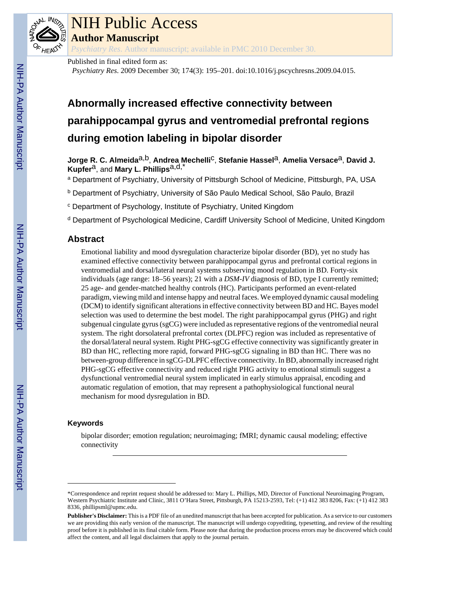

# NIH Public Access

**Author Manuscript**

*Psychiatry Res*. Author manuscript; available in PMC 2010 December 30.

Published in final edited form as:

*Psychiatry Res*. 2009 December 30; 174(3): 195–201. doi:10.1016/j.pscychresns.2009.04.015.

# **Abnormally increased effective connectivity between parahippocampal gyrus and ventromedial prefrontal regions during emotion labeling in bipolar disorder**

**Jorge R. C. Almeida**a,b, **Andrea Mechelli**c, **Stefanie Hassel**a, **Amelia Versace**a, **David J. Kupfer**a, and **Mary L. Phillips**a,d,\*

<sup>a</sup> Department of Psychiatry, University of Pittsburgh School of Medicine, Pittsburgh, PA, USA

b Department of Psychiatry, University of São Paulo Medical School, São Paulo, Brazil

c Department of Psychology, Institute of Psychiatry, United Kingdom

<sup>d</sup> Department of Psychological Medicine, Cardiff University School of Medicine, United Kingdom

# **Abstract**

Emotional liability and mood dysregulation characterize bipolar disorder (BD), yet no study has examined effective connectivity between parahippocampal gyrus and prefrontal cortical regions in ventromedial and dorsal/lateral neural systems subserving mood regulation in BD. Forty-six individuals (age range: 18–56 years); 21 with a *DSM-IV* diagnosis of BD, type I currently remitted; 25 age- and gender-matched healthy controls (HC). Participants performed an event-related paradigm, viewing mild and intense happy and neutral faces. We employed dynamic causal modeling (DCM) to identify significant alterations in effective connectivity between BD and HC. Bayes model selection was used to determine the best model. The right parahippocampal gyrus (PHG) and right subgenual cingulate gyrus (sgCG) were included as representative regions of the ventromedial neural system. The right dorsolateral prefrontal cortex (DLPFC) region was included as representative of the dorsal/lateral neural system. Right PHG-sgCG effective connectivity was significantly greater in BD than HC, reflecting more rapid, forward PHG-sgCG signaling in BD than HC. There was no between-group difference in sgCG-DLPFC effective connectivity. In BD, abnormally increased right PHG-sgCG effective connectivity and reduced right PHG activity to emotional stimuli suggest a dysfunctional ventromedial neural system implicated in early stimulus appraisal, encoding and automatic regulation of emotion, that may represent a pathophysiological functional neural mechanism for mood dysregulation in BD.

# **Keywords**

bipolar disorder; emotion regulation; neuroimaging; fMRI; dynamic causal modeling; effective connectivity

<sup>\*</sup>Correspondence and reprint request should be addressed to: Mary L. Phillips, MD, Director of Functional Neuroimaging Program, Western Psychiatric Institute and Clinic, 3811 O'Hara Street, Pittsburgh, PA 15213-2593, Tel: (+1) 412 383 8206, Fax: (+1) 412 383 8336, phillipsml@upmc.edu.

**Publisher's Disclaimer:** This is a PDF file of an unedited manuscript that has been accepted for publication. As a service to our customers we are providing this early version of the manuscript. The manuscript will undergo copyediting, typesetting, and review of the resulting proof before it is published in its final citable form. Please note that during the production process errors may be discovered which could affect the content, and all legal disclaimers that apply to the journal pertain.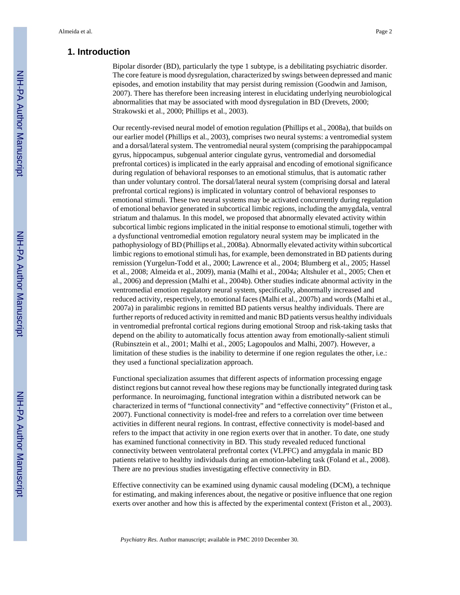# **1. Introduction**

Bipolar disorder (BD), particularly the type 1 subtype, is a debilitating psychiatric disorder. The core feature is mood dysregulation, characterized by swings between depressed and manic episodes, and emotion instability that may persist during remission (Goodwin and Jamison, 2007). There has therefore been increasing interest in elucidating underlying neurobiological abnormalities that may be associated with mood dysregulation in BD (Drevets, 2000; Strakowski et al., 2000; Phillips et al., 2003).

Our recently-revised neural model of emotion regulation (Phillips et al., 2008a), that builds on our earlier model (Phillips et al., 2003), comprises two neural systems: a ventromedial system and a dorsal/lateral system. The ventromedial neural system (comprising the parahippocampal gyrus, hippocampus, subgenual anterior cingulate gyrus, ventromedial and dorsomedial prefrontal cortices) is implicated in the early appraisal and encoding of emotional significance during regulation of behavioral responses to an emotional stimulus, that is automatic rather than under voluntary control. The dorsal/lateral neural system (comprising dorsal and lateral prefrontal cortical regions) is implicated in voluntary control of behavioral responses to emotional stimuli. These two neural systems may be activated concurrently during regulation of emotional behavior generated in subcortical limbic regions, including the amygdala, ventral striatum and thalamus. In this model, we proposed that abnormally elevated activity within subcortical limbic regions implicated in the initial response to emotional stimuli, together with a dysfunctional ventromedial emotion regulatory neural system may be implicated in the pathophysiology of BD (Phillips et al., 2008a). Abnormally elevated activity within subcortical limbic regions to emotional stimuli has, for example, been demonstrated in BD patients during remission (Yurgelun-Todd et al., 2000; Lawrence et al., 2004; Blumberg et al., 2005; Hassel et al., 2008; Almeida et al., 2009), mania (Malhi et al., 2004a; Altshuler et al., 2005; Chen et al., 2006) and depression (Malhi et al., 2004b). Other studies indicate abnormal activity in the ventromedial emotion regulatory neural system, specifically, abnormally increased and reduced activity, respectively, to emotional faces (Malhi et al., 2007b) and words (Malhi et al., 2007a) in paralimbic regions in remitted BD patients versus healthy individuals. There are further reports of reduced activity in remitted and manic BD patients versus healthy individuals in ventromedial prefrontal cortical regions during emotional Stroop and risk-taking tasks that depend on the ability to automatically focus attention away from emotionally-salient stimuli (Rubinsztein et al., 2001; Malhi et al., 2005; Lagopoulos and Malhi, 2007). However, a limitation of these studies is the inability to determine if one region regulates the other, i.e.: they used a functional specialization approach.

Functional specialization assumes that different aspects of information processing engage distinct regions but cannot reveal how these regions may be functionally integrated during task performance. In neuroimaging, functional integration within a distributed network can be characterized in terms of "functional connectivity" and "effective connectivity" (Friston et al., 2007). Functional connectivity is model-free and refers to a correlation over time between activities in different neural regions. In contrast, effective connectivity is model-based and refers to the impact that activity in one region exerts over that in another. To date, one study has examined functional connectivity in BD. This study revealed reduced functional connectivity between ventrolateral prefrontal cortex (VLPFC) and amygdala in manic BD patients relative to healthy individuals during an emotion-labeling task (Foland et al., 2008). There are no previous studies investigating effective connectivity in BD.

Effective connectivity can be examined using dynamic causal modeling (DCM), a technique for estimating, and making inferences about, the negative or positive influence that one region exerts over another and how this is affected by the experimental context (Friston et al., 2003).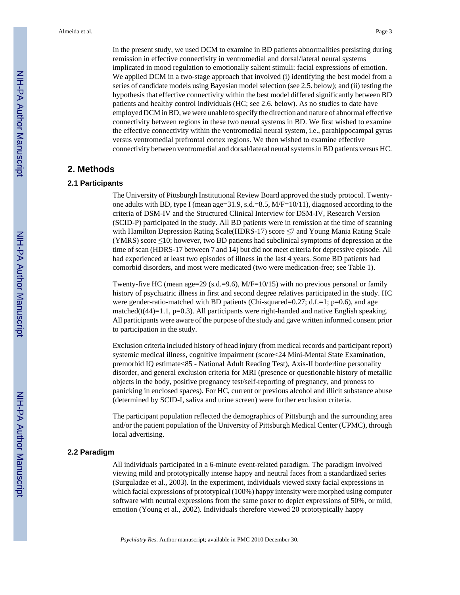In the present study, we used DCM to examine in BD patients abnormalities persisting during remission in effective connectivity in ventromedial and dorsal/lateral neural systems implicated in mood regulation to emotionally salient stimuli: facial expressions of emotion. We applied DCM in a two-stage approach that involved (i) identifying the best model from a series of candidate models using Bayesian model selection (see 2.5. below); and (ii) testing the hypothesis that effective connectivity within the best model differed significantly between BD patients and healthy control individuals (HC; see 2.6. below). As no studies to date have employed DCM in BD, we were unable to specify the direction and nature of abnormal effective connectivity between regions in these two neural systems in BD. We first wished to examine the effective connectivity within the ventromedial neural system, i.e., parahippocampal gyrus versus ventromedial prefrontal cortex regions. We then wished to examine effective connectivity between ventromedial and dorsal/lateral neural systems in BD patients versus HC.

# **2. Methods**

# **2.1 Participants**

The University of Pittsburgh Institutional Review Board approved the study protocol. Twentyone adults with BD, type I (mean age=31.9, s.d.=8.5,  $M/F=10/11$ ), diagnosed according to the criteria of DSM-IV and the Structured Clinical Interview for DSM-IV, Research Version (SCID-P) participated in the study. All BD patients were in remission at the time of scanning with Hamilton Depression Rating Scale(HDRS-17) score ≤7 and Young Mania Rating Scale (YMRS) score ≤10; however, two BD patients had subclinical symptoms of depression at the time of scan (HDRS-17 between 7 and 14) but did not meet criteria for depressive episode. All had experienced at least two episodes of illness in the last 4 years. Some BD patients had comorbid disorders, and most were medicated (two were medication-free; see Table 1).

Twenty-five HC (mean age=29 (s.d.=9.6), M/F=10/15) with no previous personal or family history of psychiatric illness in first and second degree relatives participated in the study. HC were gender-ratio-matched with BD patients (Chi-squared=0.27; d.f.=1;  $p=0.6$ ), and age matched( $t(44)=1.1$ ,  $p=0.3$ ). All participants were right-handed and native English speaking. All participants were aware of the purpose of the study and gave written informed consent prior to participation in the study.

Exclusion criteria included history of head injury (from medical records and participant report) systemic medical illness, cognitive impairment (score<24 Mini-Mental State Examination, premorbid IQ estimate<85 - National Adult Reading Test), Axis-II borderline personality disorder, and general exclusion criteria for MRI (presence or questionable history of metallic objects in the body, positive pregnancy test/self-reporting of pregnancy, and proness to panicking in enclosed spaces). For HC, current or previous alcohol and illicit substance abuse (determined by SCID-I, saliva and urine screen) were further exclusion criteria.

The participant population reflected the demographics of Pittsburgh and the surrounding area and/or the patient population of the University of Pittsburgh Medical Center (UPMC), through local advertising.

#### **2.2 Paradigm**

All individuals participated in a 6-minute event-related paradigm. The paradigm involved viewing mild and prototypically intense happy and neutral faces from a standardized series (Surguladze et al., 2003). In the experiment, individuals viewed sixty facial expressions in which facial expressions of prototypical (100%) happy intensity were morphed using computer software with neutral expressions from the same poser to depict expressions of 50%, or mild, emotion (Young et al., 2002). Individuals therefore viewed 20 prototypically happy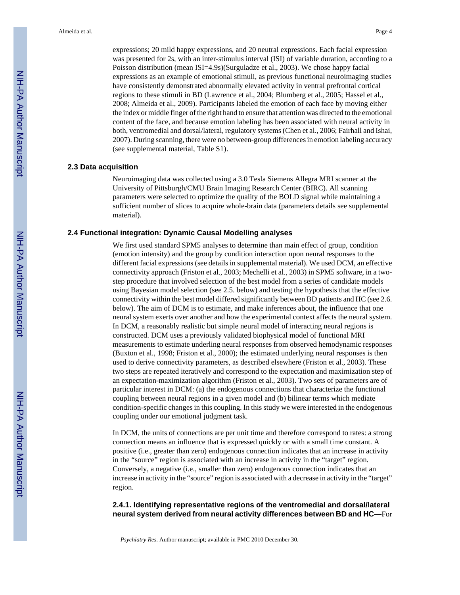expressions; 20 mild happy expressions, and 20 neutral expressions. Each facial expression was presented for 2s, with an inter-stimulus interval (ISI) of variable duration, according to a Poisson distribution (mean ISI=4.9s)(Surguladze et al., 2003). We chose happy facial expressions as an example of emotional stimuli, as previous functional neuroimaging studies have consistently demonstrated abnormally elevated activity in ventral prefrontal cortical regions to these stimuli in BD (Lawrence et al., 2004; Blumberg et al., 2005; Hassel et al., 2008; Almeida et al., 2009). Participants labeled the emotion of each face by moving either the index or middle finger of the right hand to ensure that attention was directed to the emotional content of the face, and because emotion labeling has been associated with neural activity in both, ventromedial and dorsal/lateral, regulatory systems (Chen et al., 2006; Fairhall and Ishai, 2007). During scanning, there were no between-group differences in emotion labeling accuracy (see supplemental material, Table S1).

#### **2.3 Data acquisition**

Neuroimaging data was collected using a 3.0 Tesla Siemens Allegra MRI scanner at the University of Pittsburgh/CMU Brain Imaging Research Center (BIRC). All scanning parameters were selected to optimize the quality of the BOLD signal while maintaining a sufficient number of slices to acquire whole-brain data (parameters details see supplemental material).

#### **2.4 Functional integration: Dynamic Causal Modelling analyses**

We first used standard SPM5 analyses to determine than main effect of group, condition (emotion intensity) and the group by condition interaction upon neural responses to the different facial expressions (see details in supplemental material). We used DCM, an effective connectivity approach (Friston et al., 2003; Mechelli et al., 2003) in SPM5 software, in a twostep procedure that involved selection of the best model from a series of candidate models using Bayesian model selection (see 2.5. below) and testing the hypothesis that the effective connectivity within the best model differed significantly between BD patients and HC (see 2.6. below). The aim of DCM is to estimate, and make inferences about, the influence that one neural system exerts over another and how the experimental context affects the neural system. In DCM, a reasonably realistic but simple neural model of interacting neural regions is constructed. DCM uses a previously validated biophysical model of functional MRI measurements to estimate underling neural responses from observed hemodynamic responses (Buxton et al., 1998; Friston et al., 2000); the estimated underlying neural responses is then used to derive connectivity parameters, as described elsewhere (Friston et al., 2003). These two steps are repeated iteratively and correspond to the expectation and maximization step of an expectation-maximization algorithm (Friston et al., 2003). Two sets of parameters are of particular interest in DCM: (a) the endogenous connections that characterize the functional coupling between neural regions in a given model and (b) bilinear terms which mediate condition-specific changes in this coupling. In this study we were interested in the endogenous coupling under our emotional judgment task.

In DCM, the units of connections are per unit time and therefore correspond to rates: a strong connection means an influence that is expressed quickly or with a small time constant. A positive (i.e., greater than zero) endogenous connection indicates that an increase in activity in the "source" region is associated with an increase in activity in the "target" region. Conversely, a negative (i.e., smaller than zero) endogenous connection indicates that an increase in activity in the "source" region is associated with a decrease in activity in the "target" region.

#### **2.4.1. Identifying representative regions of the ventromedial and dorsal/lateral neural system derived from neural activity differences between BD and HC—**For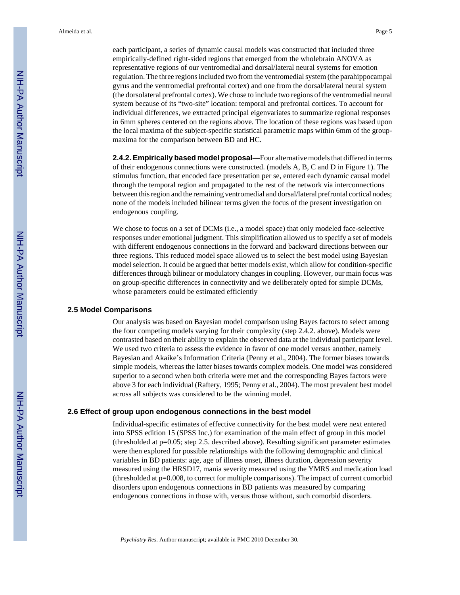each participant, a series of dynamic causal models was constructed that included three empirically-defined right-sided regions that emerged from the wholebrain ANOVA as representative regions of our ventromedial and dorsal/lateral neural systems for emotion regulation. The three regions included two from the ventromedial system (the parahippocampal gyrus and the ventromedial prefrontal cortex) and one from the dorsal/lateral neural system (the dorsolateral prefrontal cortex). We chose to include two regions of the ventromedial neural system because of its "two-site" location: temporal and prefrontal cortices. To account for individual differences, we extracted principal eigenvariates to summarize regional responses in 6mm spheres centered on the regions above. The location of these regions was based upon the local maxima of the subject-specific statistical parametric maps within 6mm of the groupmaxima for the comparison between BD and HC.

**2.4.2. Empirically based model proposal—**Four alternative models that differed in terms of their endogenous connections were constructed. (models A, B, C and D in Figure 1). The stimulus function, that encoded face presentation per se, entered each dynamic causal model through the temporal region and propagated to the rest of the network via interconnections between this region and the remaining ventromedial and dorsal/lateral prefrontal cortical nodes; none of the models included bilinear terms given the focus of the present investigation on endogenous coupling.

We chose to focus on a set of DCMs (i.e., a model space) that only modeled face-selective responses under emotional judgment. This simplification allowed us to specify a set of models with different endogenous connections in the forward and backward directions between our three regions. This reduced model space allowed us to select the best model using Bayesian model selection. It could be argued that better models exist, which allow for condition-specific differences through bilinear or modulatory changes in coupling. However, our main focus was on group-specific differences in connectivity and we deliberately opted for simple DCMs, whose parameters could be estimated efficiently

#### **2.5 Model Comparisons**

Our analysis was based on Bayesian model comparison using Bayes factors to select among the four competing models varying for their complexity (step 2.4.2. above). Models were contrasted based on their ability to explain the observed data at the individual participant level. We used two criteria to assess the evidence in favor of one model versus another, namely Bayesian and Akaike's Information Criteria (Penny et al., 2004). The former biases towards simple models, whereas the latter biases towards complex models. One model was considered superior to a second when both criteria were met and the corresponding Bayes factors were above 3 for each individual (Raftery, 1995; Penny et al., 2004). The most prevalent best model across all subjects was considered to be the winning model.

#### **2.6 Effect of group upon endogenous connections in the best model**

Individual-specific estimates of effective connectivity for the best model were next entered into SPSS edition 15 (SPSS Inc.) for examination of the main effect of group in this model (thresholded at p=0.05; step 2.5. described above). Resulting significant parameter estimates were then explored for possible relationships with the following demographic and clinical variables in BD patients: age, age of illness onset, illness duration, depression severity measured using the HRSD17, mania severity measured using the YMRS and medication load (thresholded at p=0.008, to correct for multiple comparisons). The impact of current comorbid disorders upon endogenous connections in BD patients was measured by comparing endogenous connections in those with, versus those without, such comorbid disorders.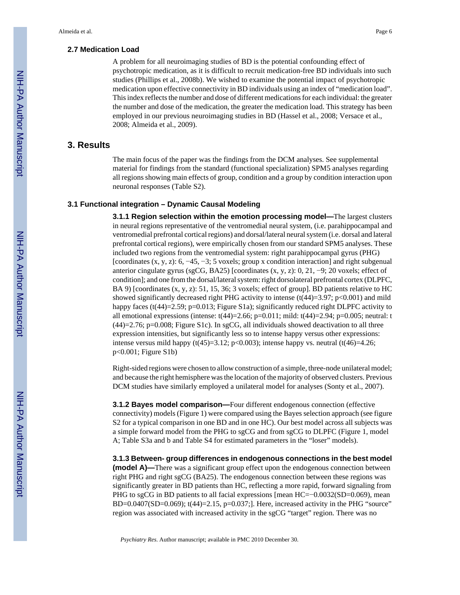#### **2.7 Medication Load**

A problem for all neuroimaging studies of BD is the potential confounding effect of psychotropic medication, as it is difficult to recruit medication-free BD individuals into such studies (Phillips et al., 2008b). We wished to examine the potential impact of psychotropic medication upon effective connectivity in BD individuals using an index of "medication load". This index reflects the number and dose of different medications for each individual: the greater the number and dose of the medication, the greater the medication load. This strategy has been employed in our previous neuroimaging studies in BD (Hassel et al., 2008; Versace et al., 2008; Almeida et al., 2009).

# **3. Results**

The main focus of the paper was the findings from the DCM analyses. See supplemental material for findings from the standard (functional specialization) SPM5 analyses regarding all regions showing main effects of group, condition and a group by condition interaction upon neuronal responses (Table S2).

#### **3.1 Functional integration – Dynamic Causal Modeling**

**3.1.1 Region selection within the emotion processing model—**The largest clusters in neural regions representative of the ventromedial neural system, (i.e. parahippocampal and ventromedial prefrontal cortical regions) and dorsal/lateral neural system (i.e. dorsal and lateral prefrontal cortical regions), were empirically chosen from our standard SPM5 analyses. These included two regions from the ventromedial system: right parahippocampal gyrus (PHG) [coordinates (x, y, z): 6, −45, −3; 5 voxels; group x condition interaction] and right subgenual anterior cingulate gyrus (sgCG, BA25) [coordinates  $(x, y, z)$ : 0, 21, -9; 20 voxels; effect of condition]; and one from the dorsal/lateral system: right dorsolateral prefrontal cortex (DLPFC, BA 9) [coordinates (x, y, z): 51, 15, 36; 3 voxels; effect of group]. BD patients relative to HC showed significantly decreased right PHG activity to intense (t(44)=3.97; p<0.001) and mild happy faces (t(44)=2.59; p=0.013; Figure S1a); significantly reduced right DLPFC activity to all emotional expressions (intense: t(44)=2.66; p=0.011; mild: t(44)=2.94; p=0.005; neutral: t  $(44)=2.76$ ; p=0.008; Figure S1c). In sgCG, all individuals showed deactivation to all three expression intensities, but significantly less so to intense happy versus other expressions: intense versus mild happy (t(45)=3.12; p<0.003); intense happy vs. neutral (t(46)=4.26; p<0.001; Figure S1b)

Right-sided regions were chosen to allow construction of a simple, three-node unilateral model; and because the right hemisphere was the location of the majority of observed clusters. Previous DCM studies have similarly employed a unilateral model for analyses (Sonty et al., 2007).

**3.1.2 Bayes model comparison—**Four different endogenous connection (effective connectivity) models (Figure 1) were compared using the Bayes selection approach (see figure S2 for a typical comparison in one BD and in one HC). Our best model across all subjects was a simple forward model from the PHG to sgCG and from sgCG to DLPFC (Figure 1, model A; Table S3a and b and Table S4 for estimated parameters in the "loser" models).

**3.1.3 Between- group differences in endogenous connections in the best model (model A)—**There was a significant group effect upon the endogenous connection between right PHG and right sgCG (BA25). The endogenous connection between these regions was significantly greater in BD patients than HC, reflecting a more rapid, forward signaling from PHG to sgCG in BD patients to all facial expressions [mean HC=−0.0032(SD=0.069), mean BD=0.0407(SD=0.069); t(44)=2.15, p=0.037;]. Here, increased activity in the PHG "source" region was associated with increased activity in the sgCG "target" region. There was no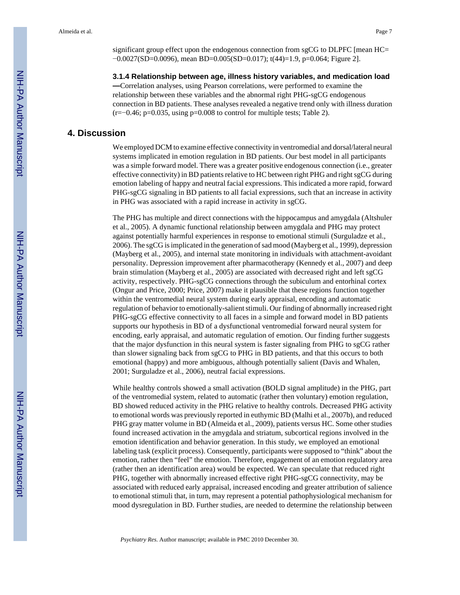significant group effect upon the endogenous connection from sgCG to DLPFC [mean HC= −0.0027(SD=0.0096), mean BD=0.005(SD=0.017); t(44)=1.9, p=0.064; Figure 2].

#### **3.1.4 Relationship between age, illness history variables, and medication load**

**—**Correlation analyses, using Pearson correlations, were performed to examine the relationship between these variables and the abnormal right PHG-sgCG endogenous connection in BD patients. These analyses revealed a negative trend only with illness duration (r=−0.46; p=0.035, using p=0.008 to control for multiple tests; Table 2).

# **4. Discussion**

We employed DCM to examine effective connectivity in ventromedial and dorsal/lateral neural systems implicated in emotion regulation in BD patients. Our best model in all participants was a simple forward model. There was a greater positive endogenous connection (i.e., greater effective connectivity) in BD patients relative to HC between right PHG and right sgCG during emotion labeling of happy and neutral facial expressions. This indicated a more rapid, forward PHG-sgCG signaling in BD patients to all facial expressions, such that an increase in activity in PHG was associated with a rapid increase in activity in sgCG.

The PHG has multiple and direct connections with the hippocampus and amygdala (Altshuler et al., 2005). A dynamic functional relationship between amygdala and PHG may protect against potentially harmful experiences in response to emotional stimuli (Surguladze et al., 2006). The sgCG is implicated in the generation of sad mood (Mayberg et al., 1999), depression (Mayberg et al., 2005), and internal state monitoring in individuals with attachment-avoidant personality. Depression improvement after pharmacotherapy (Kennedy et al., 2007) and deep brain stimulation (Mayberg et al., 2005) are associated with decreased right and left sgCG activity, respectively. PHG-sgCG connections through the subiculum and entorhinal cortex (Ongur and Price, 2000; Price, 2007) make it plausible that these regions function together within the ventromedial neural system during early appraisal, encoding and automatic regulation of behavior to emotionally-salient stimuli. Our finding of abnormally increased right PHG-sgCG effective connectivity to all faces in a simple and forward model in BD patients supports our hypothesis in BD of a dysfunctional ventromedial forward neural system for encoding, early appraisal, and automatic regulation of emotion. Our finding further suggests that the major dysfunction in this neural system is faster signaling from PHG to sgCG rather than slower signaling back from sgCG to PHG in BD patients, and that this occurs to both emotional (happy) and more ambiguous, although potentially salient (Davis and Whalen, 2001; Surguladze et al., 2006), neutral facial expressions.

While healthy controls showed a small activation (BOLD signal amplitude) in the PHG, part of the ventromedial system, related to automatic (rather then voluntary) emotion regulation, BD showed reduced activity in the PHG relative to healthy controls. Decreased PHG activity to emotional words was previously reported in euthymic BD (Malhi et al., 2007b), and reduced PHG gray matter volume in BD (Almeida et al., 2009), patients versus HC. Some other studies found increased activation in the amygdala and striatum, subcortical regions involved in the emotion identification and behavior generation. In this study, we employed an emotional labeling task (explicit process). Consequently, participants were supposed to "think" about the emotion, rather then "feel" the emotion. Therefore, engagement of an emotion regulatory area (rather then an identification area) would be expected. We can speculate that reduced right PHG, together with abnormally increased effective right PHG-sgCG connectivity, may be associated with reduced early appraisal, increased encoding and greater attribution of salience to emotional stimuli that, in turn, may represent a potential pathophysiological mechanism for mood dysregulation in BD. Further studies, are needed to determine the relationship between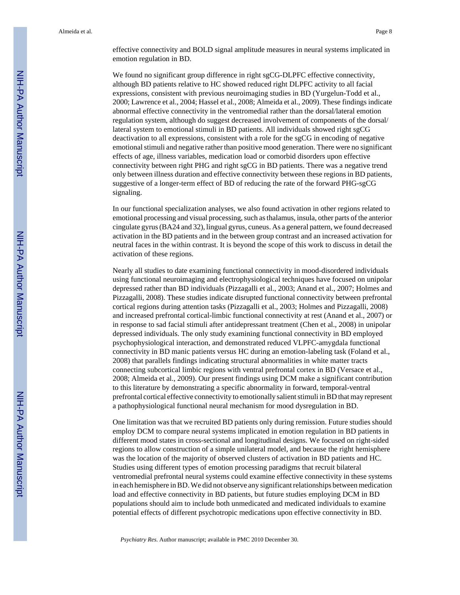effective connectivity and BOLD signal amplitude measures in neural systems implicated in emotion regulation in BD.

We found no significant group difference in right sgCG-DLPFC effective connectivity, although BD patients relative to HC showed reduced right DLPFC activity to all facial expressions, consistent with previous neuroimaging studies in BD (Yurgelun-Todd et al., 2000; Lawrence et al., 2004; Hassel et al., 2008; Almeida et al., 2009). These findings indicate abnormal effective connectivity in the ventromedial rather than the dorsal/lateral emotion regulation system, although do suggest decreased involvement of components of the dorsal/ lateral system to emotional stimuli in BD patients. All individuals showed right sgCG deactivation to all expressions, consistent with a role for the sgCG in encoding of negative emotional stimuli and negative rather than positive mood generation. There were no significant effects of age, illness variables, medication load or comorbid disorders upon effective connectivity between right PHG and right sgCG in BD patients. There was a negative trend only between illness duration and effective connectivity between these regions in BD patients, suggestive of a longer-term effect of BD of reducing the rate of the forward PHG-sgCG signaling.

In our functional specialization analyses, we also found activation in other regions related to emotional processing and visual processing, such as thalamus, insula, other parts of the anterior cingulate gyrus (BA24 and 32), lingual gyrus, cuneus. As a general pattern, we found decreased activation in the BD patients and in the between group contrast and an increased activation for neutral faces in the within contrast. It is beyond the scope of this work to discuss in detail the activation of these regions.

Nearly all studies to date examining functional connectivity in mood-disordered individuals using functional neuroimaging and electrophysiological techniques have focused on unipolar depressed rather than BD individuals (Pizzagalli et al., 2003; Anand et al., 2007; Holmes and Pizzagalli, 2008). These studies indicate disrupted functional connectivity between prefrontal cortical regions during attention tasks (Pizzagalli et al., 2003; Holmes and Pizzagalli, 2008) and increased prefrontal cortical-limbic functional connectivity at rest (Anand et al., 2007) or in response to sad facial stimuli after antidepressant treatment (Chen et al., 2008) in unipolar depressed individuals. The only study examining functional connectivity in BD employed psychophysiological interaction, and demonstrated reduced VLPFC-amygdala functional connectivity in BD manic patients versus HC during an emotion-labeling task (Foland et al., 2008) that parallels findings indicating structural abnormalities in white matter tracts connecting subcortical limbic regions with ventral prefrontal cortex in BD (Versace et al., 2008; Almeida et al., 2009). Our present findings using DCM make a significant contribution to this literature by demonstrating a specific abnormality in forward, temporal-ventral prefrontal cortical effective connectivity to emotionally salient stimuli in BD that may represent a pathophysiological functional neural mechanism for mood dysregulation in BD.

One limitation was that we recruited BD patients only during remission. Future studies should employ DCM to compare neural systems implicated in emotion regulation in BD patients in different mood states in cross-sectional and longitudinal designs. We focused on right-sided regions to allow construction of a simple unilateral model, and because the right hemisphere was the location of the majority of observed clusters of activation in BD patients and HC. Studies using different types of emotion processing paradigms that recruit bilateral ventromedial prefrontal neural systems could examine effective connectivity in these systems in each hemisphere in BD. We did not observe any significant relationships between medication load and effective connectivity in BD patients, but future studies employing DCM in BD populations should aim to include both unmedicated and medicated individuals to examine potential effects of different psychotropic medications upon effective connectivity in BD.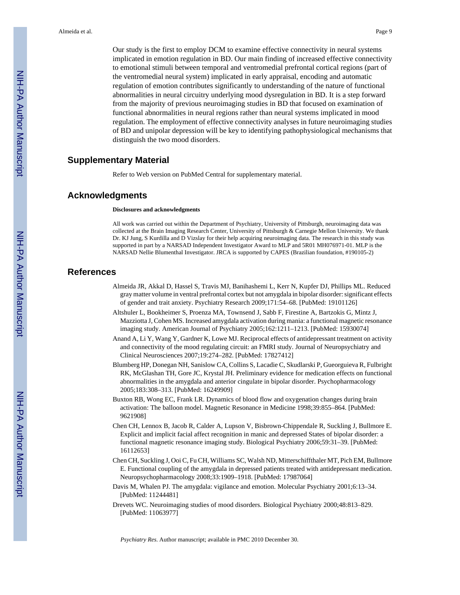Our study is the first to employ DCM to examine effective connectivity in neural systems implicated in emotion regulation in BD. Our main finding of increased effective connectivity to emotional stimuli between temporal and ventromedial prefrontal cortical regions (part of the ventromedial neural system) implicated in early appraisal, encoding and automatic regulation of emotion contributes significantly to understanding of the nature of functional abnormalities in neural circuitry underlying mood dysregulation in BD. It is a step forward from the majority of previous neuroimaging studies in BD that focused on examination of functional abnormalities in neural regions rather than neural systems implicated in mood regulation. The employment of effective connectivity analyses in future neuroimaging studies of BD and unipolar depression will be key to identifying pathophysiological mechanisms that distinguish the two mood disorders.

# **Supplementary Material**

Refer to Web version on PubMed Central for supplementary material.

# **Acknowledgments**

#### **Disclosures and acknowledgments**

All work was carried out within the Department of Psychiatry, University of Pittsburgh, neuroimaging data was collected at the Brain Imaging Research Center, University of Pittsburgh & Carnegie Mellon University. We thank Dr. KJ Jung, S Kurdilla and D Vizslay for their help acquiring neuroimaging data. The research in this study was supported in part by a NARSAD Independent Investigator Award to MLP and 5R01 MH076971-01. MLP is the NARSAD Nellie Blumenthal Investigator. JRCA is supported by CAPES (Brazilian foundation, #190105-2)

# **References**

- Almeida JR, Akkal D, Hassel S, Travis MJ, Banihashemi L, Kerr N, Kupfer DJ, Phillips ML. Reduced gray matter volume in ventral prefrontal cortex but not amygdala in bipolar disorder: significant effects of gender and trait anxiety. Psychiatry Research 2009;171:54–68. [PubMed: 19101126]
- Altshuler L, Bookheimer S, Proenza MA, Townsend J, Sabb F, Firestine A, Bartzokis G, Mintz J, Mazziotta J, Cohen MS. Increased amygdala activation during mania: a functional magnetic resonance imaging study. American Journal of Psychiatry 2005;162:1211–1213. [PubMed: 15930074]
- Anand A, Li Y, Wang Y, Gardner K, Lowe MJ. Reciprocal effects of antidepressant treatment on activity and connectivity of the mood regulating circuit: an FMRI study. Journal of Neuropsychiatry and Clinical Neurosciences 2007;19:274–282. [PubMed: 17827412]
- Blumberg HP, Donegan NH, Sanislow CA, Collins S, Lacadie C, Skudlarski P, Gueorguieva R, Fulbright RK, McGlashan TH, Gore JC, Krystal JH. Preliminary evidence for medication effects on functional abnormalities in the amygdala and anterior cingulate in bipolar disorder. Psychopharmacology 2005;183:308–313. [PubMed: 16249909]
- Buxton RB, Wong EC, Frank LR. Dynamics of blood flow and oxygenation changes during brain activation: The balloon model. Magnetic Resonance in Medicine 1998;39:855–864. [PubMed: 9621908]
- Chen CH, Lennox B, Jacob R, Calder A, Lupson V, Bisbrown-Chippendale R, Suckling J, Bullmore E. Explicit and implicit facial affect recognition in manic and depressed States of bipolar disorder: a functional magnetic resonance imaging study. Biological Psychiatry 2006;59:31–39. [PubMed: 16112653]
- Chen CH, Suckling J, Ooi C, Fu CH, Williams SC, Walsh ND, Mitterschiffthaler MT, Pich EM, Bullmore E. Functional coupling of the amygdala in depressed patients treated with antidepressant medication. Neuropsychopharmacology 2008;33:1909–1918. [PubMed: 17987064]
- Davis M, Whalen PJ. The amygdala: vigilance and emotion. Molecular Psychiatry 2001;6:13–34. [PubMed: 11244481]
- Drevets WC. Neuroimaging studies of mood disorders. Biological Psychiatry 2000;48:813–829. [PubMed: 11063977]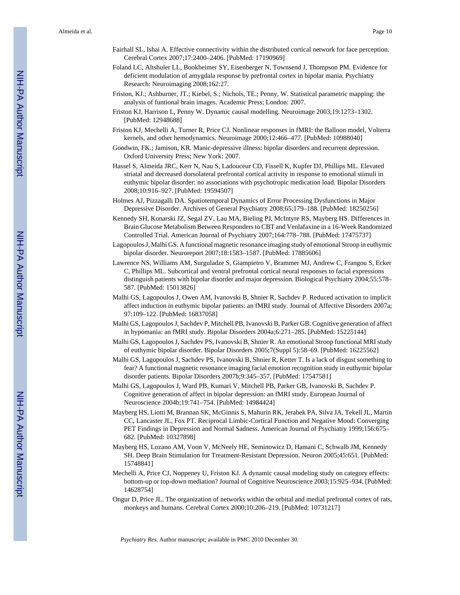- Fairhall SL, Ishai A. Effective connectivity within the distributed cortical network for face perception. Cerebral Cortex 2007;17:2400–2406. [PubMed: 17190969]
- Foland LC, Altshuler LL, Bookheimer SY, Eisenberger N, Townsend J, Thompson PM. Evidence for deficient modulation of amygdala response by prefrontal cortex in bipolar mania. Psychiatry Research: Neuroimaging 2008;162:27.
- Friston, KJ.; Ashburner, JT.; Kiebel, S.; Nichols, TE.; Penny, W. Statistical parametric mapping: the analysis of funtional brain images. Academic Press; London: 2007.
- Friston KJ, Harrison L, Penny W. Dynamic causal modelling. Neuroimage 2003;19:1273–1302. [PubMed: 12948688]
- Friston KJ, Mechelli A, Turner R, Price CJ. Nonlinear responses in fMRI: the Balloon model, Volterra kernels, and other hemodynamics. Neuroimage 2000;12:466–477. [PubMed: 10988040]
- Goodwin, FK.; Jamison, KR. Manic-depressive illness: bipolar disorders and recurrent depression. Oxford University Press; New York: 2007.
- Hassel S, Almeida JRC, Kerr N, Nau S, Ladouceur CD, Fissell K, Kupfer DJ, Phillips ML. Elevated striatal and decreased dorsolateral prefrontal cortical activity in response to emotional stimuli in euthymic bipolar disorder: no associations with psychotropic medication load. Bipolar Disorders 2008;10:916–927. [PubMed: 19594507]
- Holmes AJ, Pizzagalli DA. Spatiotemporal Dynamics of Error Processing Dysfunctions in Major Depressive Disorder. Archives of General Psychiatry 2008;65:179–188. [PubMed: 18250256]
- Kennedy SH, Konarski JZ, Segal ZV, Lau MA, Bieling PJ, McIntyre RS, Mayberg HS. Differences in Brain Glucose Metabolism Between Responders to CBT and Venlafaxine in a 16-Week Randomized Controlled Trial. American Journal of Psychiatry 2007;164:778–788. [PubMed: 17475737]
- Lagopoulos J, Malhi GS. A functional magnetic resonance imaging study of emotional Stroop in euthymic bipolar disorder. Neuroreport 2007;18:1583–1587. [PubMed: 17885606]
- Lawrence NS, Williams AM, Surguladze S, Giampietro V, Brammer MJ, Andrew C, Frangou S, Ecker C, Phillips ML. Subcortical and ventral prefrontal cortical neural responses to facial expressions distinguish patients with bipolar disorder and major depression. Biological Psychiatry 2004;55:578– 587. [PubMed: 15013826]
- Malhi GS, Lagopoulos J, Owen AM, Ivanovski B, Shnier R, Sachdev P. Reduced activation to implicit affect induction in euthymic bipolar patients: an fMRI study. Journal of Affective Disorders 2007a; 97:109–122. [PubMed: 16837058]
- Malhi GS, Lagopoulos J, Sachdev P, Mitchell PB, Ivanovski B, Parker GB. Cognitive generation of affect in hypomania: an fMRI study. Bipolar Disorders 2004a;6:271–285. [PubMed: 15225144]
- Malhi GS, Lagopoulos J, Sachdev PS, Ivanovski B, Shnier R. An emotional Stroop functional MRI study of euthymic bipolar disorder. Bipolar Disorders 2005;7(Suppl 5):58–69. [PubMed: 16225562]
- Malhi GS, Lagopoulos J, Sachdev PS, Ivanovski B, Shnier R, Ketter T. Is a lack of disgust something to fear? A functional magnetic resonance imaging facial emotion recognition study in euthymic bipolar disorder patients. Bipolar Disorders 2007b;9:345–357. [PubMed: 17547581]
- Malhi GS, Lagopoulos J, Ward PB, Kumari V, Mitchell PB, Parker GB, Ivanovski B, Sachdev P. Cognitive generation of affect in bipolar depression: an fMRI study. European Journal of Neuroscience 2004b;19:741–754. [PubMed: 14984424]
- Mayberg HS, Liotti M, Brannan SK, McGinnis S, Mahurin RK, Jerabek PA, Silva JA, Tekell JL, Martin CC, Lancaster JL, Fox PT. Reciprocal Limbic-Cortical Function and Negative Mood: Converging PET Findings in Depression and Normal Sadness. American Journal of Psychiatry 1999;156:675– 682. [PubMed: 10327898]
- Mayberg HS, Lozano AM, Voon V, McNeely HE, Seminowicz D, Hamani C, Schwalb JM, Kennedy SH. Deep Brain Stimulation for Treatment-Resistant Depression. Neuron 2005;45:651. [PubMed: 15748841]
- Mechelli A, Price CJ, Noppeney U, Friston KJ. A dynamic causal modeling study on category effects: bottom-up or top-down mediation? Journal of Cognitive Neuroscience 2003;15:925–934. [PubMed: 14628754]
- Ongur D, Price JL. The organization of networks within the orbital and medial prefrontal cortex of rats, monkeys and humans. Cerebral Cortex 2000;10:206–219. [PubMed: 10731217]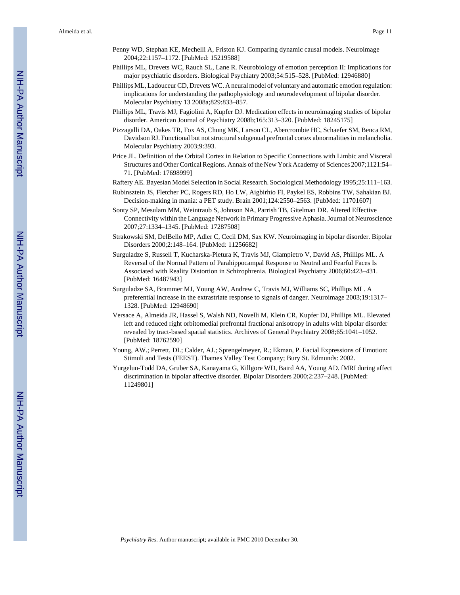- Penny WD, Stephan KE, Mechelli A, Friston KJ. Comparing dynamic causal models. Neuroimage 2004;22:1157–1172. [PubMed: 15219588]
- Phillips ML, Drevets WC, Rauch SL, Lane R. Neurobiology of emotion perception II: Implications for major psychiatric disorders. Biological Psychiatry 2003;54:515–528. [PubMed: 12946880]
- Phillips ML, Ladouceur CD, Drevets WC. A neural model of voluntary and automatic emotion regulation: implications for understanding the pathophysiology and neurodevelopment of bipolar disorder. Molecular Psychiatry 13 2008a;829:833–857.
- Phillips ML, Travis MJ, Fagiolini A, Kupfer DJ. Medication effects in neuroimaging studies of bipolar disorder. American Journal of Psychiatry 2008b;165:313–320. [PubMed: 18245175]
- Pizzagalli DA, Oakes TR, Fox AS, Chung MK, Larson CL, Abercrombie HC, Schaefer SM, Benca RM, Davidson RJ. Functional but not structural subgenual prefrontal cortex abnormalities in melancholia. Molecular Psychiatry 2003;9:393.
- Price JL. Definition of the Orbital Cortex in Relation to Specific Connections with Limbic and Visceral Structures and Other Cortical Regions. Annals of the New York Academy of Sciences 2007;1121:54– 71. [PubMed: 17698999]
- Raftery AE. Bayesian Model Selection in Social Research. Sociological Methodology 1995;25:111–163.
- Rubinsztein JS, Fletcher PC, Rogers RD, Ho LW, Aigbirhio FI, Paykel ES, Robbins TW, Sahakian BJ. Decision-making in mania: a PET study. Brain 2001;124:2550–2563. [PubMed: 11701607]
- Sonty SP, Mesulam MM, Weintraub S, Johnson NA, Parrish TB, Gitelman DR. Altered Effective Connectivity within the Language Network in Primary Progressive Aphasia. Journal of Neuroscience 2007;27:1334–1345. [PubMed: 17287508]
- Strakowski SM, DelBello MP, Adler C, Cecil DM, Sax KW. Neuroimaging in bipolar disorder. Bipolar Disorders 2000;2:148–164. [PubMed: 11256682]
- Surguladze S, Russell T, Kucharska-Pietura K, Travis MJ, Giampietro V, David AS, Phillips ML. A Reversal of the Normal Pattern of Parahippocampal Response to Neutral and Fearful Faces Is Associated with Reality Distortion in Schizophrenia. Biological Psychiatry 2006;60:423–431. [PubMed: 16487943]
- Surguladze SA, Brammer MJ, Young AW, Andrew C, Travis MJ, Williams SC, Phillips ML. A preferential increase in the extrastriate response to signals of danger. Neuroimage 2003;19:1317– 1328. [PubMed: 12948690]
- Versace A, Almeida JR, Hassel S, Walsh ND, Novelli M, Klein CR, Kupfer DJ, Phillips ML. Elevated left and reduced right orbitomedial prefrontal fractional anisotropy in adults with bipolar disorder revealed by tract-based spatial statistics. Archives of General Psychiatry 2008;65:1041–1052. [PubMed: 18762590]
- Young, AW.; Perrett, DI.; Calder, AJ.; Sprengelmeyer, R.; Ekman, P. Facial Expressions of Emotion: Stimuli and Tests (FEEST). Thames Valley Test Company; Bury St. Edmunds: 2002.
- Yurgelun-Todd DA, Gruber SA, Kanayama G, Killgore WD, Baird AA, Young AD. fMRI during affect discrimination in bipolar affective disorder. Bipolar Disorders 2000;2:237–248. [PubMed: 11249801]

NIH-PA Author Manuscript

NIH-PA Author Manuscript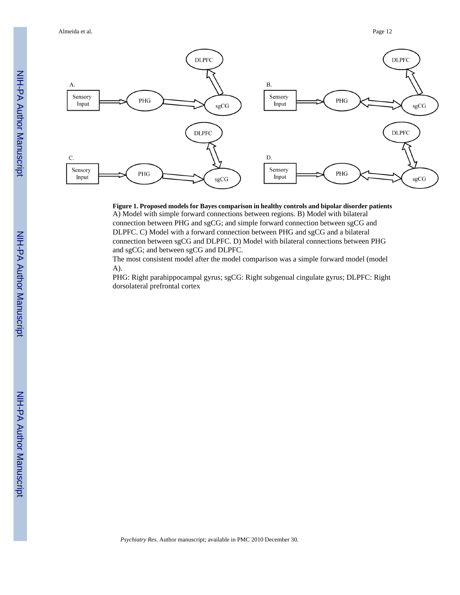Almeida et al. Page 12



# **Figure 1. Proposed models for Bayes comparison in healthy controls and bipolar disorder patients**

A) Model with simple forward connections between regions. B) Model with bilateral connection between PHG and sgCG; and simple forward connection between sgCG and DLPFC. C) Model with a forward connection between PHG and sgCG and a bilateral connection between sgCG and DLPFC. D) Model with bilateral connections between PHG and sgCG; and between sgCG and DLPFC.

The most consistent model after the model comparison was a simple forward model (model A).

PHG: Right parahippocampal gyrus; sgCG: Right subgenual cingulate gyrus; DLPFC: Right dorsolateral prefrontal cortex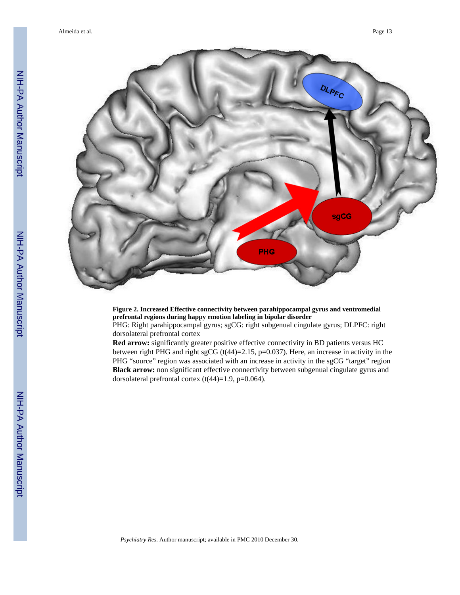

#### **Figure 2. Increased Effective connectivity between parahippocampal gyrus and ventromedial prefrontal regions during happy emotion labeling in bipolar disorder**

PHG: Right parahippocampal gyrus; sgCG: right subgenual cingulate gyrus; DLPFC: right dorsolateral prefrontal cortex

**Red arrow:** significantly greater positive effective connectivity in BD patients versus HC between right PHG and right sgCG ( $t(44)=2.15$ ,  $p=0.037$ ). Here, an increase in activity in the PHG "source" region was associated with an increase in activity in the sgCG "target" region **Black arrow:** non significant effective connectivity between subgenual cingulate gyrus and dorsolateral prefrontal cortex  $(t(44)=1.9, p=0.064)$ .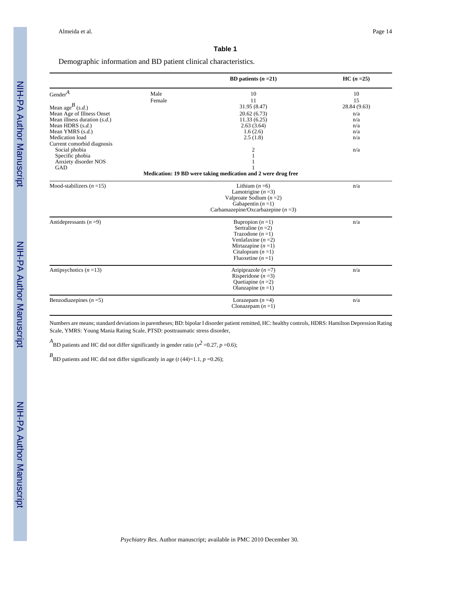#### **Table 1**

# Demographic information and BD patient clinical characteristics.

|                                |        | BD patients $(n=21)$                                          | $HC (n = 25)$ |
|--------------------------------|--------|---------------------------------------------------------------|---------------|
| $Gender^A$                     | Male   | 10                                                            | 10            |
|                                | Female | 11                                                            | 15            |
| Mean age <sup>B</sup> (s.d.)   |        | 31.95 (8.47)                                                  | 28.84 (9.63)  |
| Mean Age of Illness Onset      |        | 20.62(6.73)                                                   | n/a           |
| Mean illness duration $(s.d.)$ |        | 11.33(6.25)                                                   | n/a           |
| Mean HDRS $(s.d.)$             |        | 2.63(3.64)                                                    | n/a           |
| Mean YMRS $(s.d.)$             |        | 1.6(2.6)                                                      | n/a           |
| Medication load                |        | 2.5(1.8)                                                      | n/a           |
| Current comorbid diagnosis     |        |                                                               |               |
| Social phobia                  |        | 2                                                             | n/a           |
| Specific phobia                |        | 1                                                             |               |
| Anxiety disorder NOS           |        | 1                                                             |               |
| GAD                            |        |                                                               |               |
|                                |        | Medication: 19 BD were taking medication and 2 were drug free |               |
| Mood-stabilizers $(n=15)$      |        | Lithium $(n=6)$                                               | n/a           |
|                                |        | Lamotrigine $(n=3)$                                           |               |
|                                |        | Valproate Sodium $(n=2)$                                      |               |
|                                |        | Gabapentin $(n=1)$                                            |               |
|                                |        | Carbamazepine/Oxcarbazepine $(n=3)$                           |               |
| Antidepressants $(n=9)$        |        | Bupropion $(n=1)$                                             | n/a           |
|                                |        | Sertraline $(n=2)$                                            |               |
|                                |        | Trazodone $(n=1)$                                             |               |
|                                |        | Venlafaxine $(n=2)$                                           |               |
|                                |        | Mirtazapine $(n=1)$                                           |               |
|                                |        | Citalopram $(n=1)$                                            |               |
|                                |        | Fluoxetine $(n=1)$                                            |               |
| Antipsychotics $(n=13)$        |        | Aripiprazole $(n=7)$                                          | n/a           |
|                                |        | Risperidone $(n=3)$                                           |               |
|                                |        | Quetiapine $(n=2)$                                            |               |
|                                |        | Olanzapine $(n=1)$                                            |               |
| Benzodiazepines $(n=5)$        |        | Lorazepam $(n=4)$                                             | n/a           |
|                                |        | Clonazepam $(n=1)$                                            |               |

Numbers are means; standard deviations in parentheses; BD: bipolar I disorder patient remitted, HC: healthy controls, HDRS: Hamilton Depression Rating Scale, YMRS: Young Mania Rating Scale, PTSD: posttraumatic stress disorder,

*A*<br>BD patients and HC did not differ significantly in gender ratio ( $x^2$  =0.27, *p* =0.6);

 $B$ <sub>BD</sub> patients and HC did not differ significantly in age (*t* (44)=1.1, *p* =0.26);